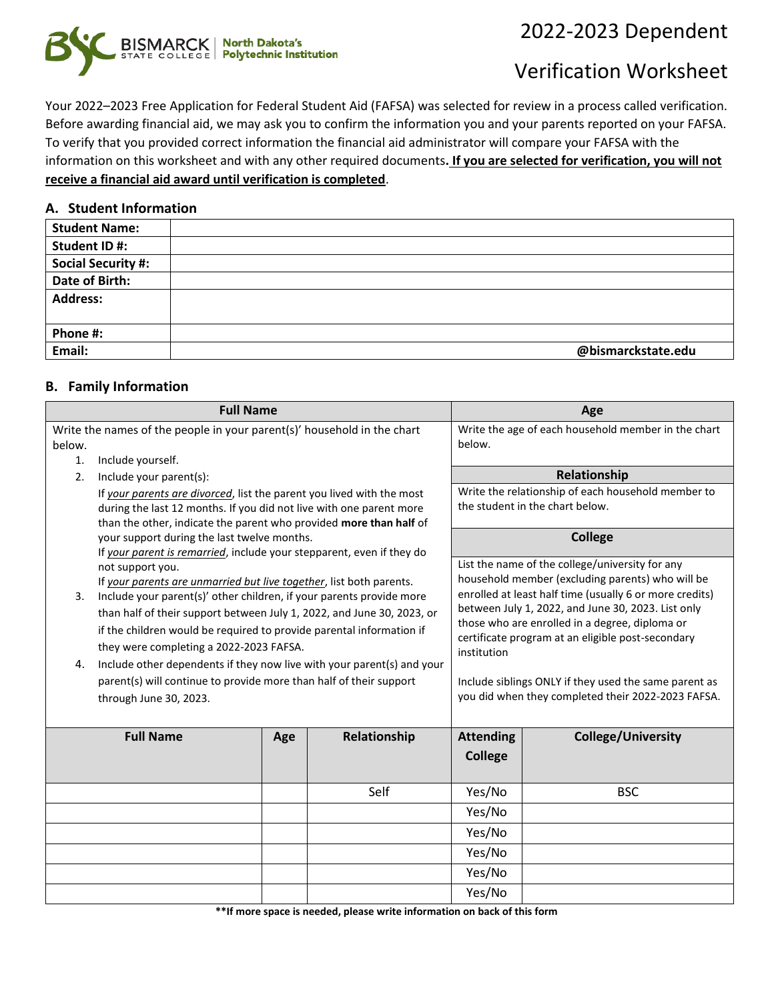## 2022-2023 Dependent



# Verification Worksheet

Your 2022–2023 Free Application for Federal Student Aid (FAFSA) was selected for review in a process called verification. Before awarding financial aid, we may ask you to confirm the information you and your parents reported on your FAFSA. To verify that you provided correct information the financial aid administrator will compare your FAFSA with the information on this worksheet and with any other required documents**. If you are selected for verification, you will not receive a financial aid award until verification is completed**.

#### **A. Student Information**

| <b>Student Name:</b>      |                    |
|---------------------------|--------------------|
| Student ID#:              |                    |
| <b>Social Security #:</b> |                    |
| Date of Birth:            |                    |
| <b>Address:</b>           |                    |
|                           |                    |
| Phone #:                  |                    |
| Email:                    | @bismarckstate.edu |
|                           |                    |

#### **B. Family Information**

| <b>Full Name</b>                                                        |                                                                                                                                           |        |                                                    |                                                                                                     | Age                                                                                   |
|-------------------------------------------------------------------------|-------------------------------------------------------------------------------------------------------------------------------------------|--------|----------------------------------------------------|-----------------------------------------------------------------------------------------------------|---------------------------------------------------------------------------------------|
| Write the names of the people in your parent(s)' household in the chart |                                                                                                                                           |        |                                                    |                                                                                                     | Write the age of each household member in the chart                                   |
|                                                                         | below.                                                                                                                                    |        |                                                    | below.                                                                                              |                                                                                       |
|                                                                         | Include yourself.<br>$\mathbf{1}$ .                                                                                                       |        |                                                    |                                                                                                     |                                                                                       |
| 2.                                                                      | Include your parent(s):                                                                                                                   |        |                                                    |                                                                                                     | Relationship                                                                          |
|                                                                         | If your parents are divorced, list the parent you lived with the most                                                                     |        |                                                    |                                                                                                     | Write the relationship of each household member to<br>the student in the chart below. |
|                                                                         | during the last 12 months. If you did not live with one parent more<br>than the other, indicate the parent who provided more than half of |        |                                                    |                                                                                                     |                                                                                       |
|                                                                         | your support during the last twelve months.                                                                                               |        |                                                    |                                                                                                     | <b>College</b>                                                                        |
|                                                                         | If your parent is remarried, include your stepparent, even if they do                                                                     |        |                                                    |                                                                                                     |                                                                                       |
|                                                                         | not support you.                                                                                                                          |        |                                                    |                                                                                                     | List the name of the college/university for any                                       |
|                                                                         | If your parents are unmarried but live together, list both parents.                                                                       |        |                                                    |                                                                                                     | household member (excluding parents) who will be                                      |
| 3.                                                                      | Include your parent(s)' other children, if your parents provide more                                                                      |        |                                                    |                                                                                                     | enrolled at least half time (usually 6 or more credits)                               |
|                                                                         | than half of their support between July 1, 2022, and June 30, 2023, or                                                                    |        |                                                    |                                                                                                     | between July 1, 2022, and June 30, 2023. List only                                    |
|                                                                         | if the children would be required to provide parental information if                                                                      |        |                                                    | those who are enrolled in a degree, diploma or<br>certificate program at an eligible post-secondary |                                                                                       |
|                                                                         | they were completing a 2022-2023 FAFSA.                                                                                                   |        |                                                    | institution                                                                                         |                                                                                       |
| 4.                                                                      | Include other dependents if they now live with your parent(s) and your                                                                    |        |                                                    |                                                                                                     |                                                                                       |
|                                                                         | parent(s) will continue to provide more than half of their support                                                                        |        |                                                    | Include siblings ONLY if they used the same parent as                                               |                                                                                       |
| through June 30, 2023.                                                  |                                                                                                                                           |        | you did when they completed their 2022-2023 FAFSA. |                                                                                                     |                                                                                       |
|                                                                         |                                                                                                                                           |        |                                                    |                                                                                                     |                                                                                       |
| <b>Full Name</b>                                                        |                                                                                                                                           | Age    | Relationship                                       | <b>Attending</b>                                                                                    | <b>College/University</b>                                                             |
|                                                                         |                                                                                                                                           |        |                                                    | <b>College</b>                                                                                      |                                                                                       |
|                                                                         |                                                                                                                                           |        |                                                    |                                                                                                     |                                                                                       |
|                                                                         |                                                                                                                                           |        | Self                                               | Yes/No                                                                                              | <b>BSC</b>                                                                            |
|                                                                         |                                                                                                                                           |        |                                                    | Yes/No                                                                                              |                                                                                       |
|                                                                         |                                                                                                                                           |        |                                                    | Yes/No                                                                                              |                                                                                       |
|                                                                         |                                                                                                                                           | Yes/No |                                                    |                                                                                                     |                                                                                       |
|                                                                         |                                                                                                                                           |        | Yes/No                                             |                                                                                                     |                                                                                       |
|                                                                         |                                                                                                                                           |        | Yes/No                                             |                                                                                                     |                                                                                       |

**\*\*If more space is needed, please write information on back of this form**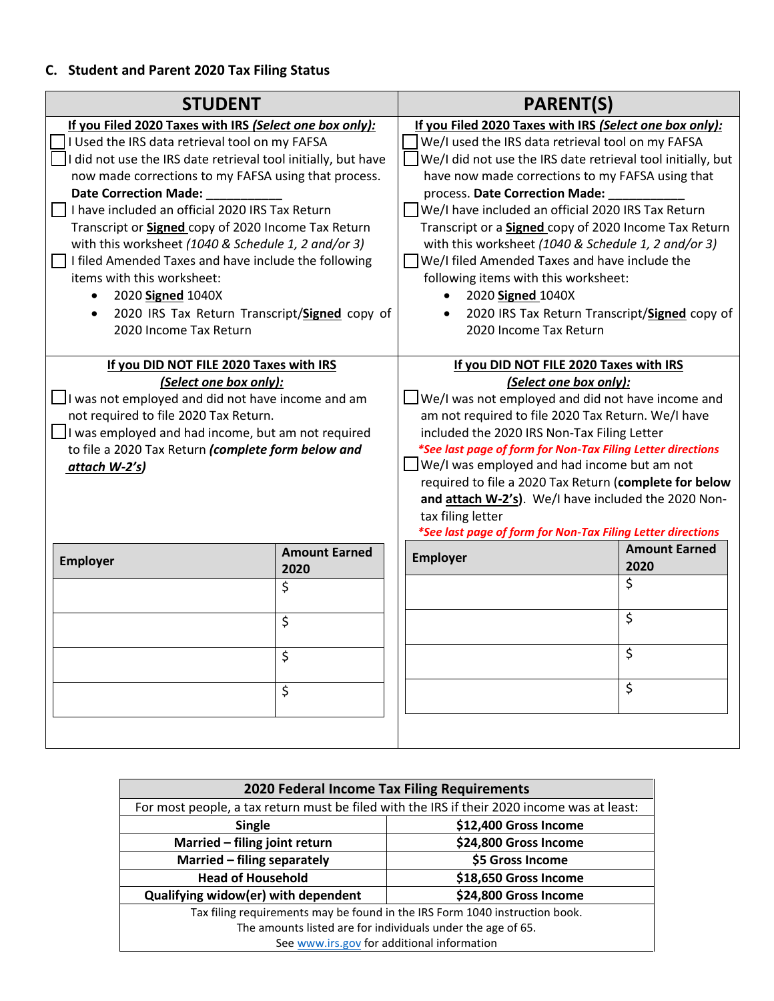### **C. Student and Parent 2020 Tax Filing Status**

| <b>STUDENT</b>                                                |                      | <b>PARENT(S)</b>                                            |                      |  |
|---------------------------------------------------------------|----------------------|-------------------------------------------------------------|----------------------|--|
| If you Filed 2020 Taxes with IRS (Select one box only):       |                      | If you Filed 2020 Taxes with IRS (Select one box only):     |                      |  |
| I Used the IRS data retrieval tool on my FAFSA                |                      | We/I used the IRS data retrieval tool on my FAFSA           |                      |  |
| I did not use the IRS date retrieval tool initially, but have |                      | We/I did not use the IRS date retrieval tool initially, but |                      |  |
| now made corrections to my FAFSA using that process.          |                      | have now made corrections to my FAFSA using that            |                      |  |
| Date Correction Made:                                         |                      | process. Date Correction Made:                              |                      |  |
| $\Box$ I have included an official 2020 IRS Tax Return        |                      | We/I have included an official 2020 IRS Tax Return          |                      |  |
| Transcript or Signed copy of 2020 Income Tax Return           |                      | Transcript or a Signed copy of 2020 Income Tax Return       |                      |  |
| with this worksheet (1040 & Schedule 1, 2 and/or 3)           |                      | with this worksheet (1040 & Schedule 1, 2 and/or 3)         |                      |  |
| $\Box$ I filed Amended Taxes and have include the following   |                      | We/I filed Amended Taxes and have include the               |                      |  |
| items with this worksheet:                                    |                      | following items with this worksheet:                        |                      |  |
| 2020 Signed 1040X<br>$\bullet$                                |                      | 2020 Signed 1040X<br>$\bullet$                              |                      |  |
| 2020 IRS Tax Return Transcript/Signed copy of<br>$\bullet$    |                      | 2020 IRS Tax Return Transcript/Signed copy of<br>$\bullet$  |                      |  |
| 2020 Income Tax Return                                        |                      | 2020 Income Tax Return                                      |                      |  |
|                                                               |                      |                                                             |                      |  |
| If you DID NOT FILE 2020 Taxes with IRS                       |                      | If you DID NOT FILE 2020 Taxes with IRS                     |                      |  |
| (Select one box only):                                        |                      | (Select one box only):                                      |                      |  |
| I was not employed and did not have income and am             |                      | We/I was not employed and did not have income and           |                      |  |
| not required to file 2020 Tax Return.                         |                      | am not required to file 2020 Tax Return. We/I have          |                      |  |
| $\Box$ I was employed and had income, but am not required     |                      | included the 2020 IRS Non-Tax Filing Letter                 |                      |  |
| to file a 2020 Tax Return (complete form below and            |                      | *See last page of form for Non-Tax Filing Letter directions |                      |  |
| attach W-2's)                                                 |                      | We/I was employed and had income but am not                 |                      |  |
|                                                               |                      | required to file a 2020 Tax Return (complete for below      |                      |  |
|                                                               |                      | and attach W-2's). We/I have included the 2020 Non-         |                      |  |
|                                                               |                      | tax filing letter                                           |                      |  |
|                                                               |                      | *See last page of form for Non-Tax Filing Letter directions |                      |  |
| <b>Employer</b>                                               | <b>Amount Earned</b> | <b>Employer</b>                                             | <b>Amount Earned</b> |  |
|                                                               | 2020                 |                                                             | 2020                 |  |
|                                                               | \$                   |                                                             | \$                   |  |
|                                                               |                      |                                                             |                      |  |
|                                                               | \$                   |                                                             | \$                   |  |
|                                                               |                      |                                                             |                      |  |
|                                                               | \$                   |                                                             | \$                   |  |
|                                                               |                      |                                                             | \$                   |  |
|                                                               | \$                   |                                                             |                      |  |
|                                                               |                      |                                                             |                      |  |
|                                                               |                      |                                                             |                      |  |

| 2020 Federal Income Tax Filing Requirements                                                 |                       |  |  |
|---------------------------------------------------------------------------------------------|-----------------------|--|--|
| For most people, a tax return must be filed with the IRS if their 2020 income was at least: |                       |  |  |
| \$12,400 Gross Income<br><b>Single</b>                                                      |                       |  |  |
| Married - filing joint return                                                               | \$24,800 Gross Income |  |  |
| Married - filing separately                                                                 | \$5 Gross Income      |  |  |
| <b>Head of Household</b><br>\$18,650 Gross Income                                           |                       |  |  |
| Qualifying widow(er) with dependent                                                         | \$24,800 Gross Income |  |  |
| Tax filing requirements may be found in the IRS Form 1040 instruction book.                 |                       |  |  |
| The amounts listed are for individuals under the age of 65.                                 |                       |  |  |
| See www.irs.gov for additional information                                                  |                       |  |  |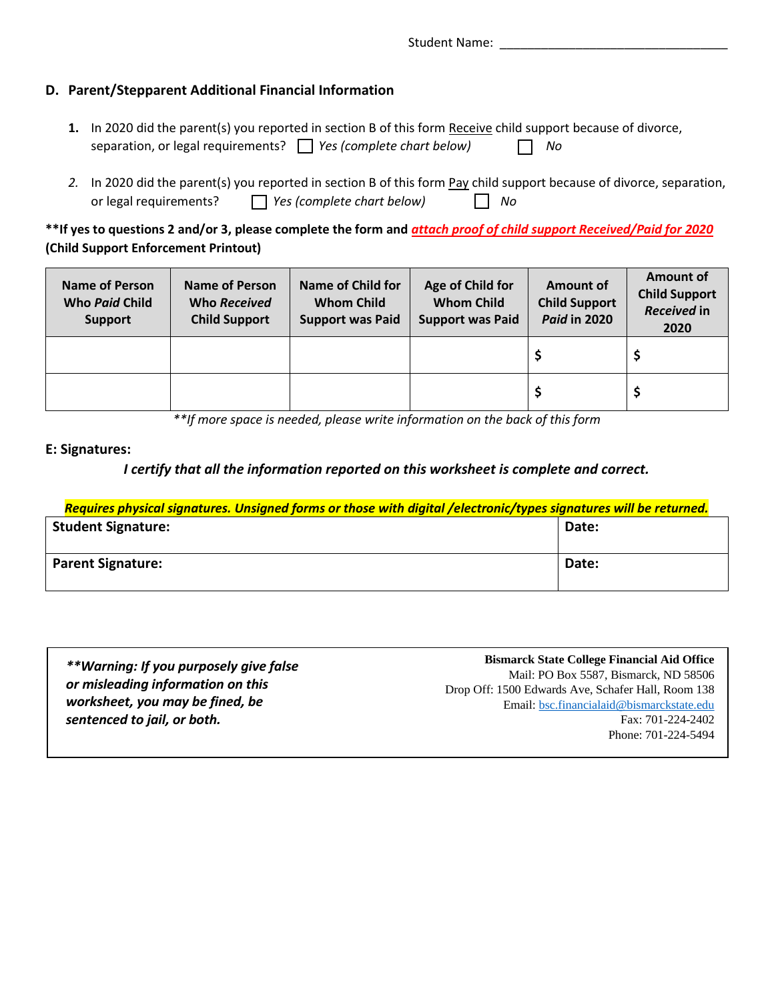Student Name: \_\_\_\_\_\_\_\_\_\_\_\_\_\_\_\_\_\_\_\_\_\_\_\_\_\_\_\_\_\_\_\_\_

#### **D. Parent/Stepparent Additional Financial Information**

- **1.** In 2020 did the parent(s) you reported in section B of this form Receive child support because of divorce, separation, or legal requirements? *Yes (complete chart below) No*
- *2.* In 2020 did the parent(s) you reported in section B of this form Pay child support because of divorce, separation, or legal requirements? *Yes (complete chart below) No*

**\*\*If yes to questions 2 and/or 3, please complete the form and** *attach proof of child support Received/Paid for 2020* **(Child Support Enforcement Printout)** 

| <b>Name of Person</b><br><b>Who Paid Child</b><br><b>Support</b> | Name of Person<br>Who Received<br><b>Child Support</b> | Name of Child for<br><b>Whom Child</b><br><b>Support was Paid</b> | Age of Child for<br><b>Whom Child</b><br><b>Support was Paid</b> | Amount of<br><b>Child Support</b><br><b>Paid in 2020</b> | Amount of<br><b>Child Support</b><br>Received in<br>2020 |
|------------------------------------------------------------------|--------------------------------------------------------|-------------------------------------------------------------------|------------------------------------------------------------------|----------------------------------------------------------|----------------------------------------------------------|
|                                                                  |                                                        |                                                                   |                                                                  |                                                          |                                                          |
|                                                                  |                                                        |                                                                   |                                                                  |                                                          |                                                          |

*\*\*If more space is needed, please write information on the back of this form*

#### **E: Signatures:**

#### *I certify that all the information reported on this worksheet is complete and correct.*

| Requires physical signatures. Unsigned forms or those with digital /electronic/types signatures will be returned. |       |  |  |
|-------------------------------------------------------------------------------------------------------------------|-------|--|--|
| <b>Student Signature:</b>                                                                                         | Date: |  |  |
|                                                                                                                   |       |  |  |
| <b>Parent Signature:</b>                                                                                          | Date: |  |  |
|                                                                                                                   |       |  |  |

| **Warning: If you purposely give false | <b>Bismarck State College Financial Aid Office</b> |
|----------------------------------------|----------------------------------------------------|
|                                        | Mail: PO Box 5587, Bismarck, ND 58506              |
| or misleading information on this      | Drop Off: 1500 Edwards Ave, Schafer Hall, Room 138 |
| worksheet, you may be fined, be        | Email: bsc.financialaid@bismarckstate.edu          |
| sentenced to jail, or both.            | Fax: 701-224-2402                                  |
|                                        | Phone: 701-224-5494                                |
|                                        |                                                    |